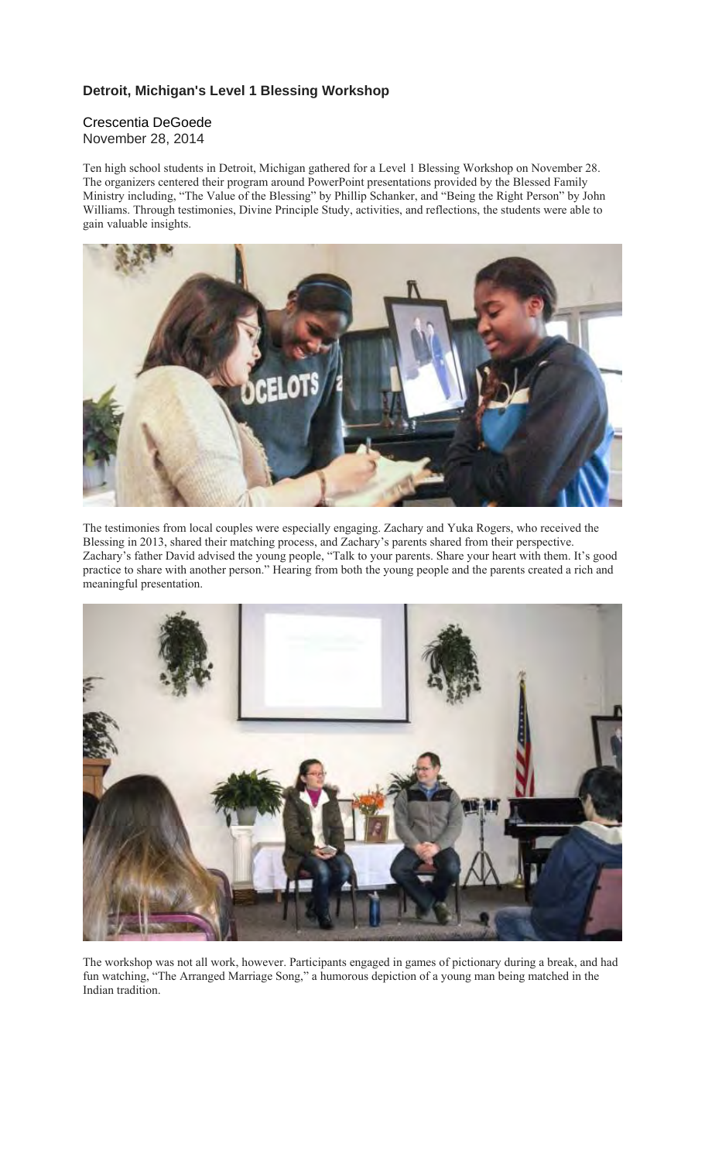## **Detroit, Michigan's Level 1 Blessing Workshop**

## Crescentia DeGoede November 28, 2014

Ten high school students in Detroit, Michigan gathered for a Level 1 Blessing Workshop on November 28. The organizers centered their program around PowerPoint presentations provided by the Blessed Family Ministry including, "The Value of the Blessing" by Phillip Schanker, and "Being the Right Person" by John Williams. Through testimonies, Divine Principle Study, activities, and reflections, the students were able to gain valuable insights.



The testimonies from local couples were especially engaging. Zachary and Yuka Rogers, who received the Blessing in 2013, shared their matching process, and Zachary's parents shared from their perspective. Zachary's father David advised the young people, "Talk to your parents. Share your heart with them. It's good practice to share with another person." Hearing from both the young people and the parents created a rich and meaningful presentation.



The workshop was not all work, however. Participants engaged in games of pictionary during a break, and had fun watching, "The Arranged Marriage Song," a humorous depiction of a young man being matched in the Indian tradition.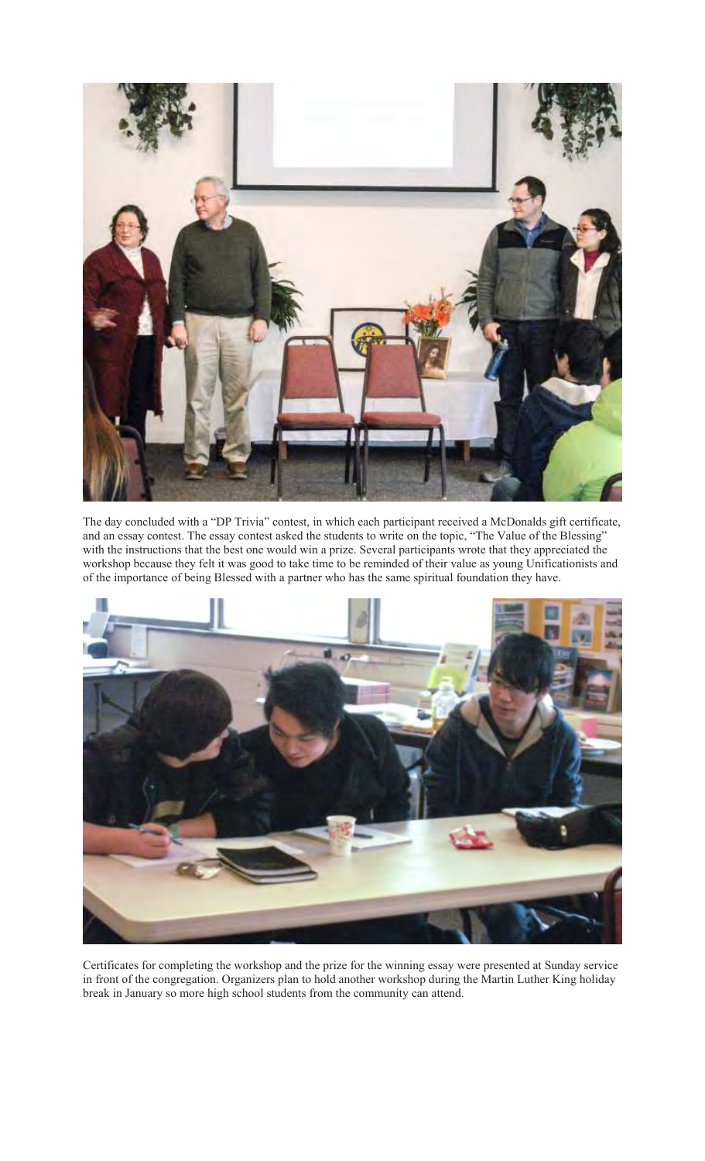

The day concluded with a "DP Trivia" contest, in which each participant received a McDonalds gift certificate, and an essay contest. The essay contest asked the students to write on the topic, "The Value of the Blessing" with the instructions that the best one would win a prize. Several participants wrote that they appreciated the workshop because they felt it was good to take time to be reminded of their value as young Unificationists and of the importance of being Blessed with a partner who has the same spiritual foundation they have.



Certificates for completing the workshop and the prize for the winning essay were presented at Sunday service in front of the congregation. Organizers plan to hold another workshop during the Martin Luther King holiday break in January so more high school students from the community can attend.